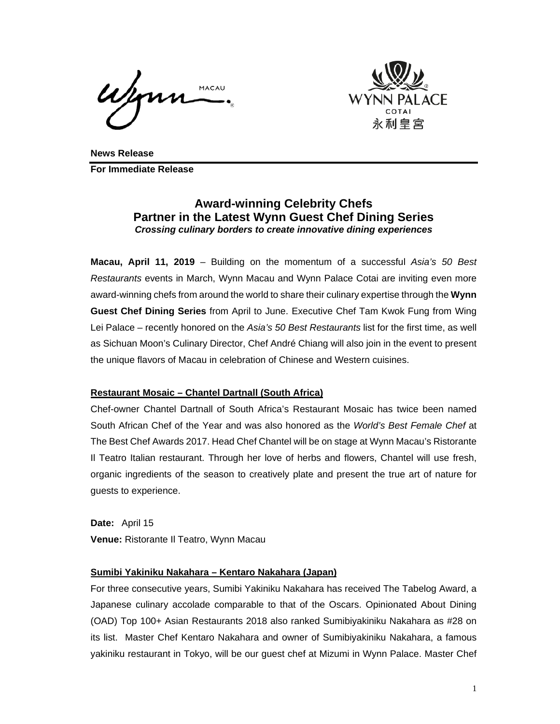MACAU



**News Release For Immediate Release** 

# **Award-winning Celebrity Chefs Partner in the Latest Wynn Guest Chef Dining Series**  *Crossing culinary borders to create innovative dining experiences*

**Macau, April 11, 2019** – Building on the momentum of a successful *Asia's 50 Best Restaurants* events in March, Wynn Macau and Wynn Palace Cotai are inviting even more award-winning chefs from around the world to share their culinary expertise through the **Wynn Guest Chef Dining Series** from April to June. Executive Chef Tam Kwok Fung from Wing Lei Palace – recently honored on the *Asia's 50 Best Restaurants* list for the first time, as well as Sichuan Moon's Culinary Director, Chef André Chiang will also join in the event to present the unique flavors of Macau in celebration of Chinese and Western cuisines.

# **Restaurant Mosaic – Chantel Dartnall (South Africa)**

Chef-owner Chantel Dartnall of South Africa's Restaurant Mosaic has twice been named South African Chef of the Year and was also honored as the *World's Best Female Chef* at The Best Chef Awards 2017. Head Chef Chantel will be on stage at Wynn Macau's Ristorante Il Teatro Italian restaurant. Through her love of herbs and flowers, Chantel will use fresh, organic ingredients of the season to creatively plate and present the true art of nature for guests to experience.

**Date:** April 15 **Venue:** Ristorante Il Teatro, Wynn Macau

#### **Sumibi Yakiniku Nakahara – Kentaro Nakahara (Japan)**

For three consecutive years, Sumibi Yakiniku Nakahara has received The Tabelog Award, a Japanese culinary accolade comparable to that of the Oscars. Opinionated About Dining (OAD) Top 100+ Asian Restaurants 2018 also ranked Sumibiyakiniku Nakahara as #28 on its list. Master Chef Kentaro Nakahara and owner of Sumibiyakiniku Nakahara, a famous yakiniku restaurant in Tokyo, will be our guest chef at Mizumi in Wynn Palace. Master Chef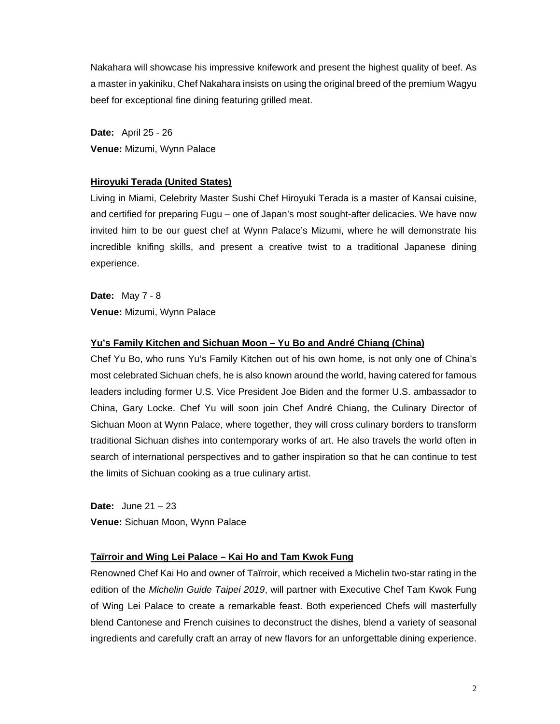Nakahara will showcase his impressive knifework and present the highest quality of beef. As a master in yakiniku, Chef Nakahara insists on using the original breed of the premium Wagyu beef for exceptional fine dining featuring grilled meat.

**Date:** April 25 - 26 **Venue:** Mizumi, Wynn Palace

#### **Hiroyuki Terada (United States)**

Living in Miami, Celebrity Master Sushi Chef Hiroyuki Terada is a master of Kansai cuisine, and certified for preparing Fugu – one of Japan's most sought-after delicacies. We have now invited him to be our guest chef at Wynn Palace's Mizumi, where he will demonstrate his incredible knifing skills, and present a creative twist to a traditional Japanese dining experience.

**Date:** May 7 - 8 **Venue:** Mizumi, Wynn Palace

# **Yu's Family Kitchen and Sichuan Moon – Yu Bo and André Chiang (China)**

Chef Yu Bo, who runs Yu's Family Kitchen out of his own home, is not only one of China's most celebrated Sichuan chefs, he is also known around the world, having catered for famous leaders including former U.S. Vice President Joe Biden and the former U.S. ambassador to China, Gary Locke. Chef Yu will soon join Chef André Chiang, the Culinary Director of Sichuan Moon at Wynn Palace, where together, they will cross culinary borders to transform traditional Sichuan dishes into contemporary works of art. He also travels the world often in search of international perspectives and to gather inspiration so that he can continue to test the limits of Sichuan cooking as a true culinary artist.

**Date:** June 21 – 23 **Venue:** Sichuan Moon, Wynn Palace

# **Taïrroir and Wing Lei Palace – Kai Ho and Tam Kwok Fung**

Renowned Chef Kai Ho and owner of Taïrroir, which received a Michelin two-star rating in the edition of the *Michelin Guide Taipei 2019*, will partner with Executive Chef Tam Kwok Fung of Wing Lei Palace to create a remarkable feast. Both experienced Chefs will masterfully blend Cantonese and French cuisines to deconstruct the dishes, blend a variety of seasonal ingredients and carefully craft an array of new flavors for an unforgettable dining experience.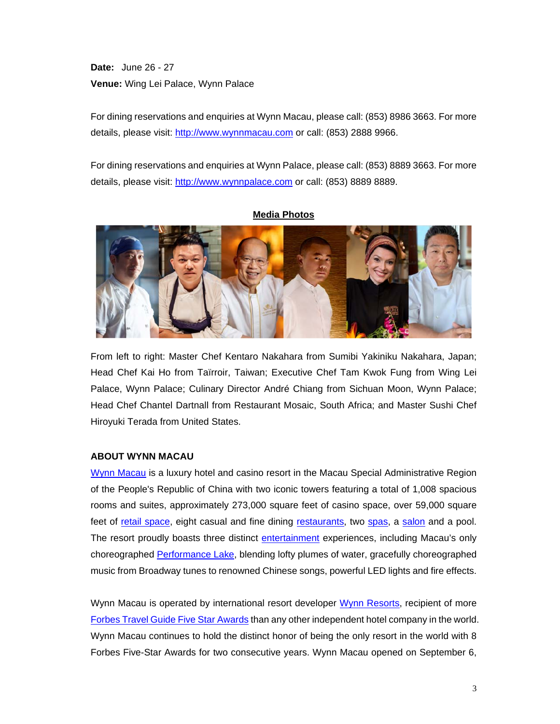**Date:** June 26 - 27 **Venue:** Wing Lei Palace, Wynn Palace

For dining reservations and enquiries at Wynn Macau, please call: (853) 8986 3663. For more details, please visit: http://www.wynnmacau.com or call: (853) 2888 9966.

For dining reservations and enquiries at Wynn Palace, please call: (853) 8889 3663. For more details, please visit: http://www.wynnpalace.com or call: (853) 8889 8889.



From left to right: Master Chef Kentaro Nakahara from Sumibi Yakiniku Nakahara, Japan; Head Chef Kai Ho from Taïrroir, Taiwan; Executive Chef Tam Kwok Fung from Wing Lei Palace, Wynn Palace; Culinary Director André Chiang from Sichuan Moon, Wynn Palace; Head Chef Chantel Dartnall from Restaurant Mosaic, South Africa; and Master Sushi Chef Hiroyuki Terada from United States.

# **ABOUT WYNN MACAU**

Wynn Macau is a luxury hotel and casino resort in the Macau Special Administrative Region of the People's Republic of China with two iconic towers featuring a total of 1,008 spacious rooms and suites, approximately 273,000 square feet of casino space, over 59,000 square feet of retail space, eight casual and fine dining restaurants, two spas, a salon and a pool. The resort proudly boasts three distinct entertainment experiences, including Macau's only choreographed Performance Lake, blending lofty plumes of water, gracefully choreographed music from Broadway tunes to renowned Chinese songs, powerful LED lights and fire effects.

Wynn Macau is operated by international resort developer Wynn Resorts, recipient of more Forbes Travel Guide Five Star Awards than any other independent hotel company in the world. Wynn Macau continues to hold the distinct honor of being the only resort in the world with 8 Forbes Five-Star Awards for two consecutive years. Wynn Macau opened on September 6,